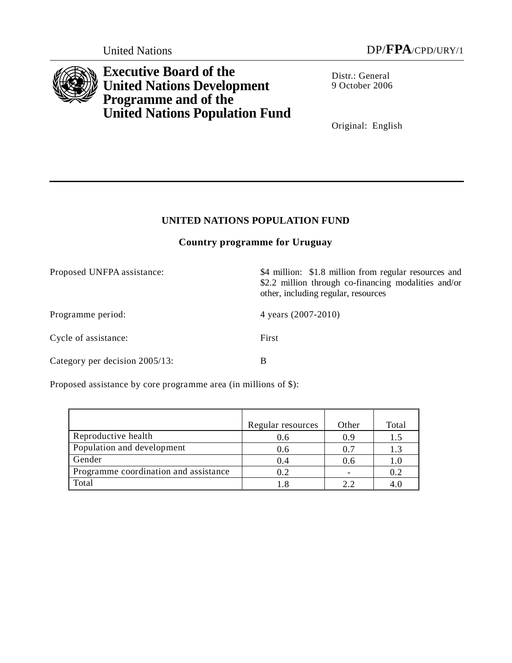

**Executive Board of the United Nations Development Programme and of the United Nations Population Fund**

Distr.: General 9 October 2006

Original: English

\$2.2 million through co-financing modalities and/or

# **UNITED NATIONS POPULATION FUND**

## **Country programme for Uruguay**

Proposed UNFPA assistance:  $\frac{$4 \text{ million: } $1.8 \text{ million from regular resources and}}$ 

Programme period: 4 years (2007-2010)

other, including regular, resources

Cycle of assistance: First

Category per decision 2005/13: B

Proposed assistance by core programme area (in millions of \$):

|                                       | Regular resources | Other | Total |
|---------------------------------------|-------------------|-------|-------|
| Reproductive health                   | 0.6               | 0.9   | 1.5   |
| Population and development            | 0.6               | 0.7   | 1.3   |
| Gender                                | 0.4               | 0.6   | 1.0   |
| Programme coordination and assistance | 0.2               |       | 0.2   |
| Total                                 |                   |       |       |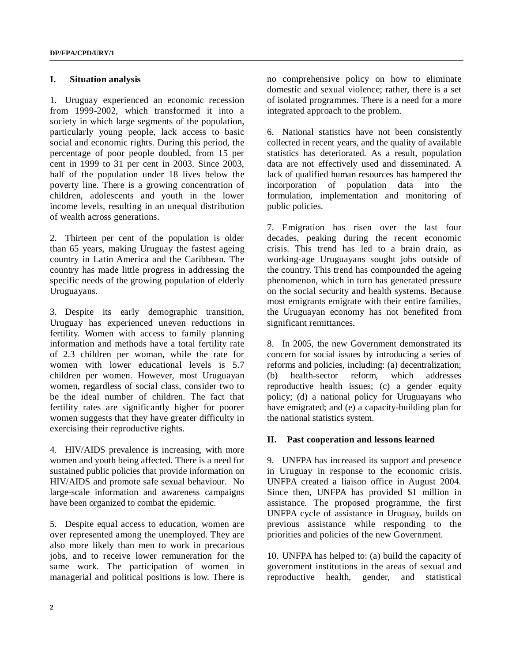#### **I. Situation analysis**

1. Uruguay experienced an economic recession from 1999-2002, which transformed it into a society in which large segments of the population, particularly young people, lack access to basic social and economic rights. During this period, the percentage of poor people doubled, from 15 per cent in 1999 to 31 per cent in 2003. Since 2003, half of the population under 18 lives below the poverty line. There is a growing concentration of children, adolescents and youth in the lower income levels, resulting in an unequal distribution of wealth across generations.

2. Thirteen per cent of the population is older than 65 years, making Uruguay the fastest ageing country in Latin America and the Caribbean. The country has made little progress in addressing the specific needs of the growing population of elderly Uruguayans.

3. Despite its early demographic transition, Uruguay has experienced uneven reductions in fertility. Women with access to family planning information and methods have a total fertility rate of 2.3 children per woman, while the rate for women with lower educational levels is 5.7 children per women. However, most Uruguayan women, regardless of social class, consider two to be the ideal number of children. The fact that fertility rates are significantly higher for poorer women suggests that they have greater difficulty in exercising their reproductive rights.

4. HIV/AIDS prevalence is increasing, with more women and youth being affected. There is a need for sustained public policies that provide information on HIV/AIDS and promote safe sexual behaviour. No large-scale information and awareness campaigns have been organized to combat the epidemic.

5. Despite equal access to education, women are over represented among the unemployed. They are also more likely than men to work in precarious jobs, and to receive lower remuneration for the same work. The participation of women in managerial and political positions is low. There is no comprehensive policy on how to eliminate domestic and sexual violence; rather, there is a set of isolated programmes. There is a need for a more integrated approach to the problem.

6. National statistics have not been consistently collected in recent years, and the quality of available statistics has deteriorated. As a result, population data are not effectively used and disseminated. A lack of qualified human resources has hampered the incorporation of population data into the formulation, implementation and monitoring of public policies.

7. Emigration has risen over the last four decades, peaking during the recent economic crisis. This trend has led to a brain drain, as working-age Uruguayans sought jobs outside of the country. This trend has compounded the ageing phenomenon, which in turn has generated pressure on the social security and health systems. Because most emigrants emigrate with their entire families, the Uruguayan economy has not benefited from significant remittances.

8. In 2005, the new Government demonstrated its concern for social issues by introducing a series of reforms and policies, including: (a) decentralization; (b) health-sector reform, which addresses reproductive health issues; (c) a gender equity policy; (d) a national policy for Uruguayans who have emigrated; and (e) a capacity-building plan for the national statistics system.

### **II. Past cooperation and lessons learned**

9. UNFPA has increased its support and presence in Uruguay in response to the economic crisis. UNFPA created a liaison office in August 2004. Since then, UNFPA has provided \$1 million in assistance. The proposed programme, the first UNFPA cycle of assistance in Uruguay, builds on previous assistance while responding to the priorities and policies of the new Government.

10. UNFPA has helped to: (a) build the capacity of government institutions in the areas of sexual and reproductive health, gender, and statistical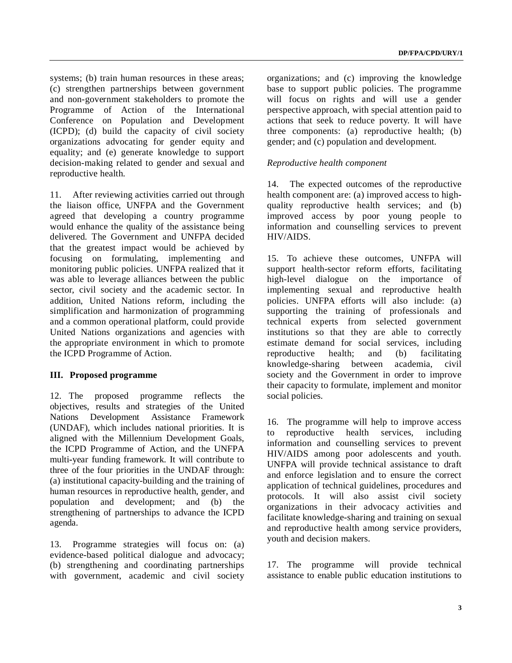systems; (b) train human resources in these areas; (c) strengthen partnerships between government and non-government stakeholders to promote the Programme of Action of the International Conference on Population and Development (ICPD); (d) build the capacity of civil society organizations advocating for gender equity and equality; and (e) generate knowledge to support decision-making related to gender and sexual and reproductive health.

11. After reviewing activities carried out through the liaison office, UNFPA and the Government agreed that developing a country programme would enhance the quality of the assistance being delivered. The Government and UNFPA decided that the greatest impact would be achieved by focusing on formulating, implementing and monitoring public policies. UNFPA realized that it was able to leverage alliances between the public sector, civil society and the academic sector. In addition, United Nations reform, including the simplification and harmonization of programming and a common operational platform, could provide United Nations organizations and agencies with the appropriate environment in which to promote the ICPD Programme of Action.

### **III. Proposed programme**

12. The proposed programme reflects the objectives, results and strategies of the United Nations Development Assistance Framework (UNDAF), which includes national priorities. It is aligned with the Millennium Development Goals, the ICPD Programme of Action, and the UNFPA multi**-**year funding framework. It will contribute to three of the four priorities in the UNDAF through: (a) institutional capacity-building and the training of human resources in reproductive health, gender, and population and development; and (b) the strengthening of partnerships to advance the ICPD agenda.

13. Programme strategies will focus on: (a) evidence-based political dialogue and advocacy; (b) strengthening and coordinating partnerships with government, academic and civil society organizations; and (c) improving the knowledge base to support public policies. The programme will focus on rights and will use a gender perspective approach, with special attention paid to actions that seek to reduce poverty. It will have three components: (a) reproductive health; (b) gender; and (c) population and development.

### *Reproductive health component*

14. The expected outcomes of the reproductive health component are: (a) improved access to highquality reproductive health services; and (b) improved access by poor young people to information and counselling services to prevent HIV/AIDS.

15. To achieve these outcomes, UNFPA will support health-sector reform efforts, facilitating high-level dialogue on the importance of implementing sexual and reproductive health policies. UNFPA efforts will also include: (a) supporting the training of professionals and technical experts from selected government institutions so that they are able to correctly estimate demand for social services, including reproductive health; and (b) facilitating knowledge-sharing between academia, civil society and the Government in order to improve their capacity to formulate, implement and monitor social policies.

16. The programme will help to improve access to reproductive health services, including information and counselling services to prevent HIV/AIDS among poor adolescents and youth. UNFPA will provide technical assistance to draft and enforce legislation and to ensure the correct application of technical guidelines, procedures and protocols. It will also assist civil society organizations in their advocacy activities and facilitate knowledge-sharing and training on sexual and reproductive health among service providers, youth and decision makers.

17. The programme will provide technical assistance to enable public education institutions to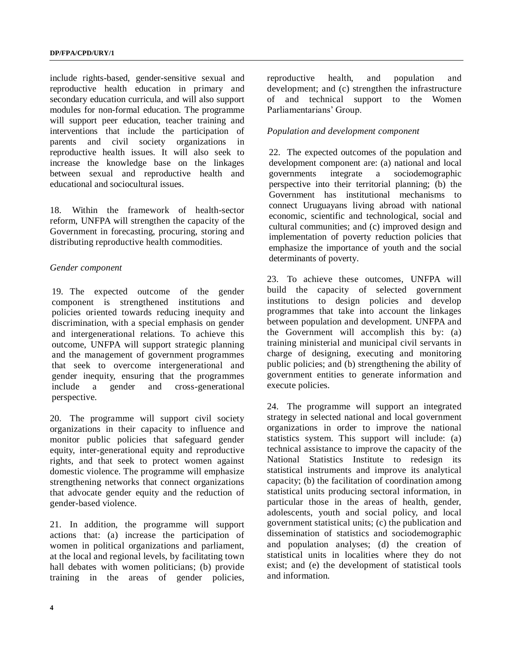include rights-based, gender-sensitive sexual and reproductive health education in primary and secondary education curricula, and will also support modules for non-formal education. The programme will support peer education, teacher training and interventions that include the participation of parents and civil society organizations in reproductive health issues. It will also seek to increase the knowledge base on the linkages between sexual and reproductive health and educational and sociocultural issues.

18. Within the framework of health-sector reform, UNFPA will strengthen the capacity of the Government in forecasting, procuring, storing and distributing reproductive health commodities.

### *Gender component*

19. The expected outcome of the gender component is strengthened institutions and policies oriented towards reducing inequity and discrimination, with a special emphasis on gender and intergenerational relations. To achieve this outcome, UNFPA will support strategic planning and the management of government programmes that seek to overcome intergenerational and gender inequity, ensuring that the programmes include a gender and cross-generational perspective.

20. The programme will support civil society organizations in their capacity to influence and monitor public policies that safeguard gender equity, inter-generational equity and reproductive rights, and that seek to protect women against domestic violence. The programme will emphasize strengthening networks that connect organizations that advocate gender equity and the reduction of gender-based violence.

21. In addition, the programme will support actions that: (a) increase the participation of women in political organizations and parliament, at the local and regional levels, by facilitating town hall debates with women politicians; (b) provide training in the areas of gender policies, reproductive health, and population and development; and (c) strengthen the infrastructure of and technical support to the Women Parliamentarians' Group.

### *Population and development component*

22. The expected outcomes of the population and development component are: (a) national and local governments integrate a sociodemographic perspective into their territorial planning; (b) the Government has institutional mechanisms to connect Uruguayans living abroad with national economic, scientific and technological, social and cultural communities; and (c) improved design and implementation of poverty reduction policies that emphasize the importance of youth and the social determinants of poverty.

23. To achieve these outcomes, UNFPA will build the capacity of selected government institutions to design policies and develop programmes that take into account the linkages between population and development. UNFPA and the Government will accomplish this by: (a) training ministerial and municipal civil servants in charge of designing, executing and monitoring public policies; and (b) strengthening the ability of government entities to generate information and execute policies.

24. The programme will support an integrated strategy in selected national and local government organizations in order to improve the national statistics system. This support will include: (a) technical assistance to improve the capacity of the National Statistics Institute to redesign its statistical instruments and improve its analytical capacity; (b) the facilitation of coordination among statistical units producing sectoral information, in particular those in the areas of health, gender, adolescents, youth and social policy, and local government statistical units; (c) the publication and dissemination of statistics and sociodemographic and population analyses; (d) the creation of statistical units in localities where they do not exist; and (e) the development of statistical tools and information.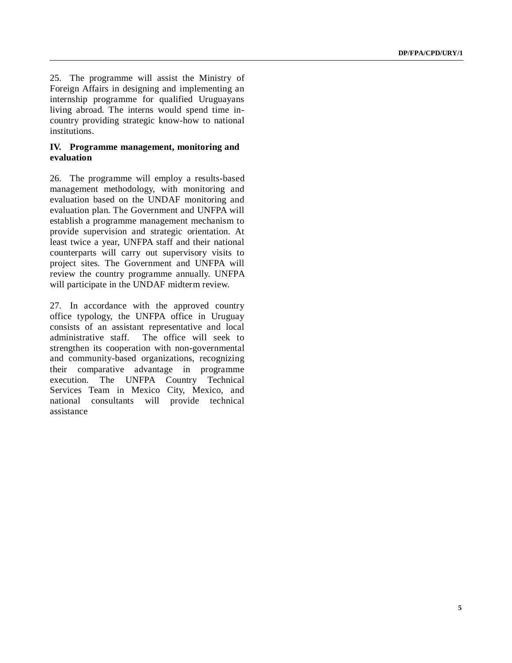25. The programme will assist the Ministry of Foreign Affairs in designing and implementing an internship programme for qualified Uruguayans living abroad. The interns would spend time incountry providing strategic know-how to national institutions.

### **IV. Programme management, monitoring and evaluation**

26. The programme will employ a results-based management methodology, with monitoring and evaluation based on the UNDAF monitoring and evaluation plan. The Government and UNFPA will establish a programme management mechanism to provide supervision and strategic orientation. At least twice a year, UNFPA staff and their national counterparts will carry out supervisory visits to project sites. The Government and UNFPA will review the country programme annually. UNFPA will participate in the UNDAF midterm review.

27. In accordance with the approved country office typology, the UNFPA office in Uruguay consists of an assistant representative and local administrative staff. The office will seek to strengthen its cooperation with non-governmental and community-based organizations, recognizing their comparative advantage in programme execution. The UNFPA Country Technical Services Team in Mexico City, Mexico, and national consultants will provide technical assistance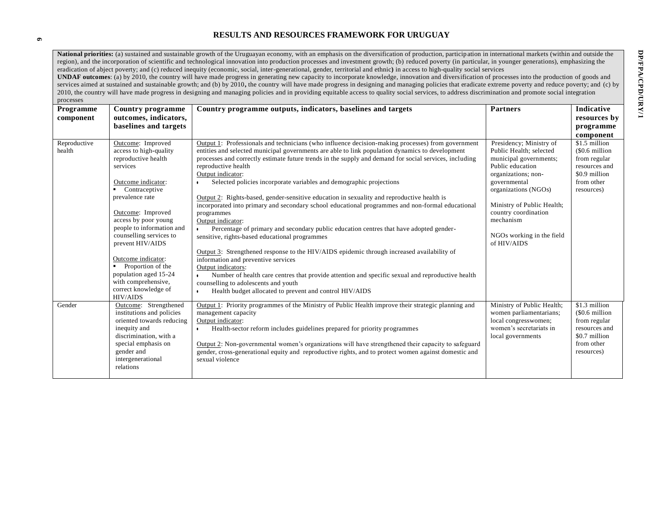### **RESULTS AND RESOURCES FRAMEWORK FOR URUGUAY**

National priorities: (a) sustained and sustainable growth of the Uruguayan economy, with an emphasis on the diversification of production, participation in international markets (within and outside the region), and the incorporation of scientific and technological innovation into production processes and investment growth; (b) reduced poverty (in particular, in younger generations), emphasizing the eradication of abject poverty; and (c) reduced inequity (economic, social, inter-generational, gender, territorial and ethnic**)** in access to high-quality social services

**UNDAF outcomes**: (a) by 2010, the country will have made progress in generating new capacity to incorporate knowledge, innovation and diversification of processes into the production of goods and services aimed at sustained and sustainable growth; and (b) by 2010, the country will have made progress in designing and managing policies that eradicate extreme poverty and reduce poverty; and (c) by 2010, the country will have made progress in designing and managing policies and in providing equitable access to quality social services, to address discrimination and promote social integration processes

| Programme<br>component | Country programme<br>outcomes, indicators,<br>baselines and targets                                                                                                                                                                                                                                                                                                                                     | Country programme outputs, indicators, baselines and targets                                                                                                                                                                                                                                                                                                                                                                                                                                                                                                                                                                                                                                                                                                                                                                                                                                                                                                                                                                                                                                                                                                                                                   | <b>Partners</b>                                                                                                                                                                                                                                                                | Indicative<br>resources by<br>programme<br>component                                                          |
|------------------------|---------------------------------------------------------------------------------------------------------------------------------------------------------------------------------------------------------------------------------------------------------------------------------------------------------------------------------------------------------------------------------------------------------|----------------------------------------------------------------------------------------------------------------------------------------------------------------------------------------------------------------------------------------------------------------------------------------------------------------------------------------------------------------------------------------------------------------------------------------------------------------------------------------------------------------------------------------------------------------------------------------------------------------------------------------------------------------------------------------------------------------------------------------------------------------------------------------------------------------------------------------------------------------------------------------------------------------------------------------------------------------------------------------------------------------------------------------------------------------------------------------------------------------------------------------------------------------------------------------------------------------|--------------------------------------------------------------------------------------------------------------------------------------------------------------------------------------------------------------------------------------------------------------------------------|---------------------------------------------------------------------------------------------------------------|
| Reproductive<br>health | Outcome: Improved<br>access to high-quality<br>reproductive health<br>services<br>Outcome indicator:<br>Contraceptive<br>prevalence rate<br>Outcome: Improved<br>access by poor young<br>people to information and<br>counselling services to<br>prevent HIV/AIDS<br>Outcome indicator:<br>Proportion of the<br>population aged 15-24<br>with comprehensive,<br>correct knowledge of<br><b>HIV/AIDS</b> | Output 1: Professionals and technicians (who influence decision-making processes) from government<br>entities and selected municipal governments are able to link population dynamics to development<br>processes and correctly estimate future trends in the supply and demand for social services, including<br>reproductive health<br>Output indicator:<br>Selected policies incorporate variables and demographic projections<br>Output 2: Rights-based, gender-sensitive education in sexuality and reproductive health is<br>incorporated into primary and secondary school educational programmes and non-formal educational<br>programmes<br>Output indicator:<br>Percentage of primary and secondary public education centres that have adopted gender-<br>$\bullet$<br>sensitive, rights-based educational programmes<br>Output 3: Strengthened response to the HIV/AIDS epidemic through increased availability of<br>information and preventive services<br>Output indicators:<br>Number of health care centres that provide attention and specific sexual and reproductive health<br>counselling to adolescents and youth<br>Health budget allocated to prevent and control HIV/AIDS<br>$\bullet$ | Presidency; Ministry of<br>Public Health; selected<br>municipal governments;<br>Public education<br>organizations; non-<br>governmental<br>organizations (NGOs)<br>Ministry of Public Health;<br>country coordination<br>mechanism<br>NGOs working in the field<br>of HIV/AIDS | \$1.5 million<br>(\$0.6 million<br>from regular<br>resources and<br>\$0.9 million<br>from other<br>resources) |
| Gender                 | Outcome: Strengthened<br>institutions and policies<br>oriented towards reducing<br>inequity and<br>discrimination, with a<br>special emphasis on<br>gender and<br>intergenerational<br>relations                                                                                                                                                                                                        | Output 1: Priority programmes of the Ministry of Public Health improve their strategic planning and<br>management capacity<br>Output indicator:<br>Health-sector reform includes guidelines prepared for priority programmes<br>Output 2: Non-governmental women's organizations will have strengthened their capacity to safeguard<br>gender, cross-generational equity and reproductive rights, and to protect women against domestic and<br>sexual violence                                                                                                                                                                                                                                                                                                                                                                                                                                                                                                                                                                                                                                                                                                                                                 | Ministry of Public Health;<br>women parliamentarians;<br>local congresswomen;<br>women's secretariats in<br>local governments                                                                                                                                                  | \$1.3 million<br>(\$0.6 million<br>from regular<br>resources and<br>\$0.7 million<br>from other<br>resources) |